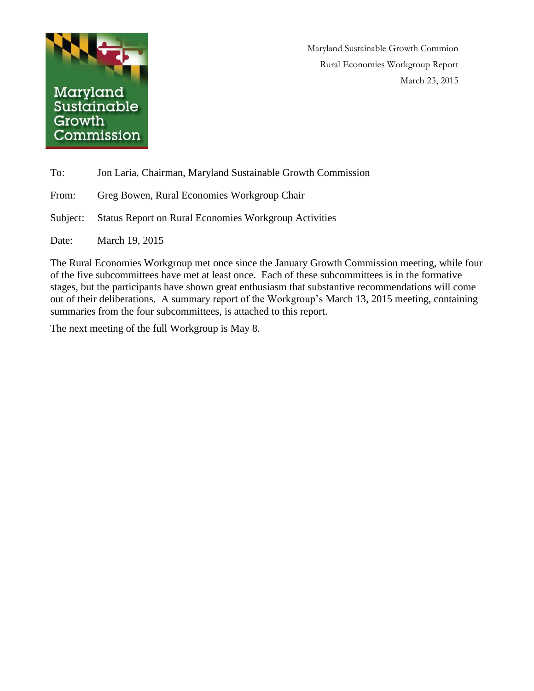

Maryland Sustainable Growth Commion Rural Economies Workgroup Report March 23, 2015

| To:      | Jon Laria, Chairman, Maryland Sustainable Growth Commission  |
|----------|--------------------------------------------------------------|
| From:    | Greg Bowen, Rural Economies Workgroup Chair                  |
| Subject: | <b>Status Report on Rural Economies Workgroup Activities</b> |
| Date:    | March 19, 2015                                               |

The Rural Economies Workgroup met once since the January Growth Commission meeting, while four of the five subcommittees have met at least once. Each of these subcommittees is in the formative stages, but the participants have shown great enthusiasm that substantive recommendations will come out of their deliberations. A summary report of the Workgroup's March 13, 2015 meeting, containing summaries from the four subcommittees, is attached to this report.

The next meeting of the full Workgroup is May 8.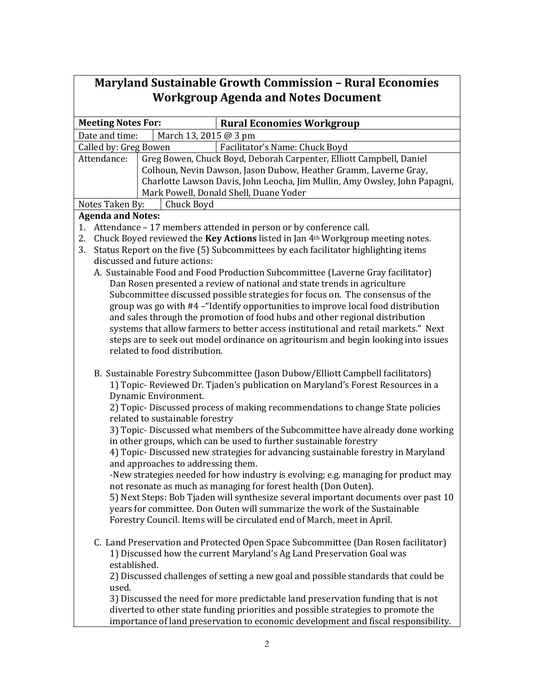## **Maryland Sustainable Growth Commission – Rural Economies Workgroup Agenda and Notes Document**

| <b>Meeting Notes For:</b> |                                    | <b>Rural Economies Workgroup</b>                                                    |
|---------------------------|------------------------------------|-------------------------------------------------------------------------------------|
| Date and time:            | March 13, 2015 @ 3 pm              |                                                                                     |
| Called by: Greg Bowen     |                                    | Facilitator's Name: Chuck Boyd                                                      |
| Attendance:               |                                    | Greg Bowen, Chuck Boyd, Deborah Carpenter, Elliott Campbell, Daniel                 |
|                           |                                    | Colhoun, Nevin Dawson, Jason Dubow, Heather Gramm, Laverne Gray,                    |
|                           |                                    | Charlotte Lawson Davis, John Leocha, Jim Mullin, Amy Owsley, John Papagni,          |
|                           |                                    | Mark Powell, Donald Shell, Duane Yoder                                              |
| Notes Taken By:           | Chuck Boyd                         |                                                                                     |
| <b>Agenda and Notes:</b>  |                                    |                                                                                     |
| 1.                        |                                    | Attendance - 17 members attended in person or by conference call.                   |
| 2.                        |                                    | Chuck Boyed reviewed the Key Actions listed in Jan 4th Workgroup meeting notes.     |
| 3.                        |                                    | Status Report on the five (5) Subcommittees by each facilitator highlighting items  |
|                           | discussed and future actions:      |                                                                                     |
|                           |                                    | A. Sustainable Food and Food Production Subcommittee (Laverne Gray facilitator)     |
|                           |                                    | Dan Rosen presented a review of national and state trends in agriculture            |
|                           |                                    | Subcommittee discussed possible strategies for focus on. The consensus of the       |
|                           |                                    | group was go with #4 – "Identify opportunities to improve local food distribution   |
|                           |                                    | and sales through the promotion of food hubs and other regional distribution        |
|                           |                                    | systems that allow farmers to better access institutional and retail markets." Next |
|                           |                                    | steps are to seek out model ordinance on agritourism and begin looking into issues  |
|                           | related to food distribution.      |                                                                                     |
|                           |                                    |                                                                                     |
|                           |                                    | B. Sustainable Forestry Subcommittee (Jason Dubow/Elliott Campbell facilitators)    |
|                           |                                    | 1) Topic- Reviewed Dr. Tjaden's publication on Maryland's Forest Resources in a     |
|                           | Dynamic Environment.               |                                                                                     |
|                           |                                    | 2) Topic-Discussed process of making recommendations to change State policies       |
|                           | related to sustainable forestry    |                                                                                     |
|                           |                                    | 3) Topic- Discussed what members of the Subcommittee have already done working      |
|                           |                                    | in other groups, which can be used to further sustainable forestry                  |
|                           |                                    | 4) Topic- Discussed new strategies for advancing sustainable forestry in Maryland   |
|                           | and approaches to addressing them. |                                                                                     |
|                           |                                    | -New strategies needed for how industry is evolving; e.g. managing for product may  |
|                           |                                    | not resonate as much as managing for forest health (Don Outen).                     |
|                           |                                    | 5) Next Steps: Bob Tjaden will synthesize several important documents over past 10  |
|                           |                                    |                                                                                     |
|                           |                                    | years for committee. Don Outen will summarize the work of the Sustainable           |
|                           |                                    | Forestry Council. Items will be circulated end of March, meet in April.             |
|                           |                                    |                                                                                     |
|                           |                                    | C. Land Preservation and Protected Open Space Subcommittee (Dan Rosen facilitator)  |
|                           |                                    | 1) Discussed how the current Maryland's Ag Land Preservation Goal was               |
| established.              |                                    |                                                                                     |
|                           |                                    | 2) Discussed challenges of setting a new goal and possible standards that could be  |
| used.                     |                                    |                                                                                     |
|                           |                                    | 3) Discussed the need for more predictable land preservation funding that is not    |
|                           |                                    | diverted to other state funding priorities and possible strategies to promote the   |
|                           |                                    | importance of land preservation to economic development and fiscal responsibility.  |